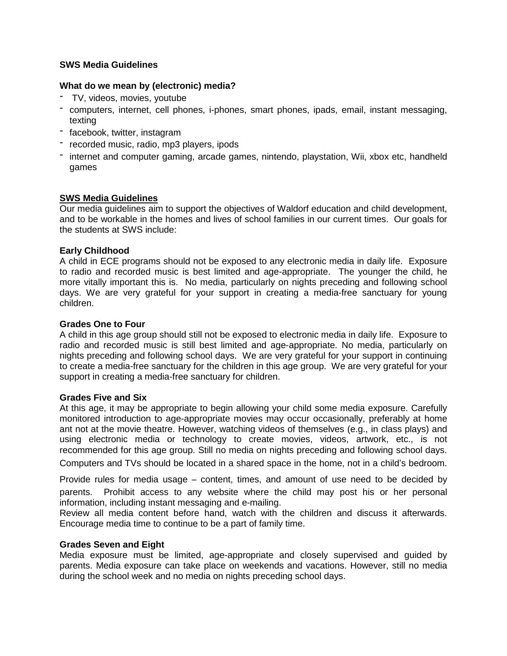# **SWS Media Guidelines**

## **What do we mean by (electronic) media?**

- TV, videos, movies, youtube
- computers, internet, cell phones, i-phones, smart phones, ipads, email, instant messaging, texting
- facebook, twitter, instagram
- recorded music, radio, mp3 players, ipods
- internet and computer gaming, arcade games, nintendo, playstation, Wii, xbox etc, handheld games

## **SWS Media Guidelines**

Our media guidelines aim to support the objectives of Waldorf education and child development, and to be workable in the homes and lives of school families in our current times. Our goals for the students at SWS include:

## **Early Childhood**

A child in ECE programs should not be exposed to any electronic media in daily life. Exposure to radio and recorded music is best limited and age-appropriate. The younger the child, he more vitally important this is. No media, particularly on nights preceding and following school days. We are very grateful for your support in creating a media-free sanctuary for young children.

#### **Grades One to Four**

A child in this age group should still not be exposed to electronic media in daily life. Exposure to radio and recorded music is still best limited and age-appropriate. No media, particularly on nights preceding and following school days. We are very grateful for your support in continuing to create a media-free sanctuary for the children in this age group. We are very grateful for your support in creating a media-free sanctuary for children.

#### **Grades Five and Six**

At this age, it may be appropriate to begin allowing your child some media exposure. Carefully monitored introduction to age-appropriate movies may occur occasionally, preferably at home ant not at the movie theatre. However, watching videos of themselves (e.g., in class plays) and using electronic media or technology to create movies, videos, artwork, etc., is not recommended for this age group. Still no media on nights preceding and following school days.

Computers and TVs should be located in a shared space in the home, not in a child's bedroom.

Provide rules for media usage – content, times, and amount of use need to be decided by parents. Prohibit access to any website where the child may post his or her personal information, including instant messaging and e-mailing.

Review all media content before hand, watch with the children and discuss it afterwards. Encourage media time to continue to be a part of family time.

#### **Grades Seven and Eight**

Media exposure must be limited, age-appropriate and closely supervised and guided by parents. Media exposure can take place on weekends and vacations. However, still no media during the school week and no media on nights preceding school days.